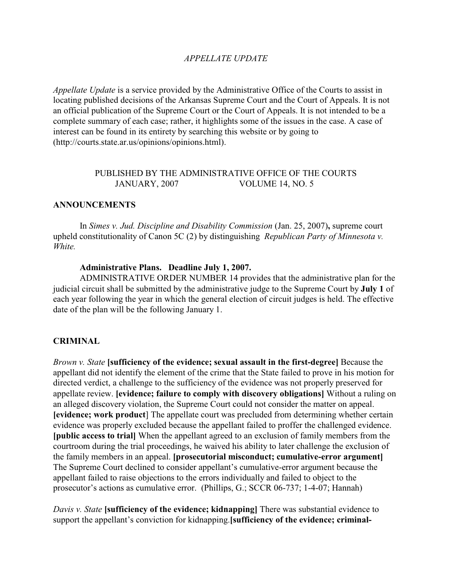# *APPELLATE UPDATE*

*Appellate Update* is a service provided by the Administrative Office of the Courts to assist in locating published decisions of the Arkansas Supreme Court and the Court of Appeals. It is not an official publication of the Supreme Court or the Court of Appeals. It is not intended to be a complete summary of each case; rather, it highlights some of the issues in the case. A case of interest can be found in its entirety by searching this website or by going to (http://courts.state.ar.us/opinions/opinions.html).

# PUBLISHED BY THE ADMINISTRATIVE OFFICE OF THE COURTS JANUARY, 2007 VOLUME 14, NO. 5

### **ANNOUNCEMENTS**

In *Simes v. Jud. Discipline and Disability Commission* (Jan. 25, 2007)**,** supreme court upheld constitutionality of Canon 5C (2) by distinguishing *Republican Party of Minnesota v. White.*

#### **Administrative Plans. Deadline July 1, 2007.**

ADMINISTRATIVE ORDER NUMBER 14 provides that the administrative plan for the judicial circuit shall be submitted by the administrative judge to the Supreme Court by **July 1** of each year following the year in which the general election of circuit judges is held. The effective date of the plan will be the following January 1.

# **CRIMINAL**

*Brown v. State* **[sufficiency of the evidence; sexual assault in the first-degree]** Because the appellant did not identify the element of the crime that the State failed to prove in his motion for directed verdict, a challenge to the sufficiency of the evidence was not properly preserved for appellate review. **[evidence; failure to comply with discovery obligations]** Without a ruling on an alleged discovery violation, the Supreme Court could not consider the matter on appeal. **[evidence; work product**] The appellate court was precluded from determining whether certain evidence was properly excluded because the appellant failed to proffer the challenged evidence. **[public access to trial]** When the appellant agreed to an exclusion of family members from the courtroom during the trial proceedings, he waived his ability to later challenge the exclusion of the family members in an appeal. **[prosecutorial misconduct; cumulative-error argument]** The Supreme Court declined to consider appellant's cumulative-error argument because the appellant failed to raise objections to the errors individually and failed to object to the prosecutor's actions as cumulative error. (Phillips, G.; SCCR 06-737; 1-4-07; Hannah)

*Davis v. State* **[sufficiency of the evidence; kidnapping]** There was substantial evidence to support the appellant's conviction for kidnapping.**[sufficiency of the evidence; criminal-**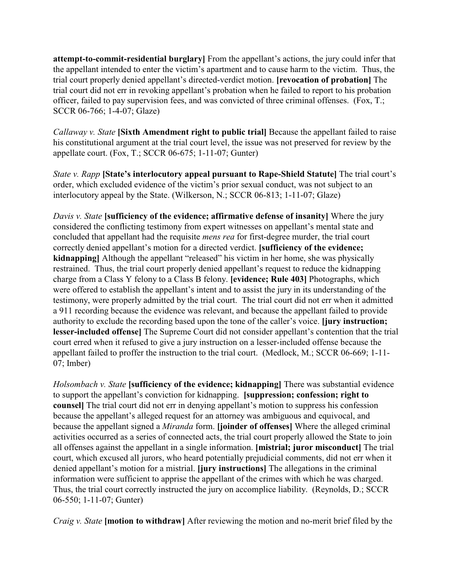**attempt-to-commit-residential burglary]** From the appellant's actions, the jury could infer that the appellant intended to enter the victim's apartment and to cause harm to the victim. Thus, the trial court properly denied appellant's directed-verdict motion. **[revocation of probation]** The trial court did not err in revoking appellant's probation when he failed to report to his probation officer, failed to pay supervision fees, and was convicted of three criminal offenses. (Fox, T.; SCCR 06-766; 1-4-07; Glaze)

*Callaway v. State* **[Sixth Amendment right to public trial]** Because the appellant failed to raise his constitutional argument at the trial court level, the issue was not preserved for review by the appellate court. (Fox, T.; SCCR 06-675; 1-11-07; Gunter)

*State v. Rapp* **[State's interlocutory appeal pursuant to Rape-Shield Statute]** The trial court's order, which excluded evidence of the victim's prior sexual conduct, was not subject to an interlocutory appeal by the State. (Wilkerson, N.; SCCR 06-813; 1-11-07; Glaze)

*Davis v. State* **[sufficiency of the evidence; affirmative defense of insanity]** Where the jury considered the conflicting testimony from expert witnesses on appellant's mental state and concluded that appellant had the requisite *mens rea* for first-degree murder, the trial court correctly denied appellant's motion for a directed verdict. **[sufficiency of the evidence; kidnapping]** Although the appellant "released" his victim in her home, she was physically restrained. Thus, the trial court properly denied appellant's request to reduce the kidnapping charge from a Class Y felony to a Class B felony. **[evidence; Rule 403]** Photographs, which were offered to establish the appellant's intent and to assist the jury in its understanding of the testimony, were properly admitted by the trial court. The trial court did not err when it admitted a 911 recording because the evidence was relevant, and because the appellant failed to provide authority to exclude the recording based upon the tone of the caller's voice. **[jury instruction; lesser-included offense]** The Supreme Court did not consider appellant's contention that the trial court erred when it refused to give a jury instruction on a lesser-included offense because the appellant failed to proffer the instruction to the trial court. (Medlock, M.; SCCR 06-669; 1-11- 07; Imber)

*Holsombach v. State* **[sufficiency of the evidence; kidnapping]** There was substantial evidence to support the appellant's conviction for kidnapping. **[suppression; confession; right to counsel** The trial court did not err in denying appellant's motion to suppress his confession because the appellant's alleged request for an attorney was ambiguous and equivocal, and because the appellant signed a *Miranda* form. **[joinder of offenses]** Where the alleged criminal activities occurred as a series of connected acts, the trial court properly allowed the State to join all offenses against the appellant in a single information. **[mistrial; juror misconduct]** The trial court, which excused all jurors, who heard potentially prejudicial comments, did not err when it denied appellant's motion for a mistrial. **[jury instructions]** The allegations in the criminal information were sufficient to apprise the appellant of the crimes with which he was charged. Thus, the trial court correctly instructed the jury on accomplice liability. (Reynolds, D.; SCCR 06-550; 1-11-07; Gunter)

*Craig v. State* **[motion to withdraw]** After reviewing the motion and no-merit brief filed by the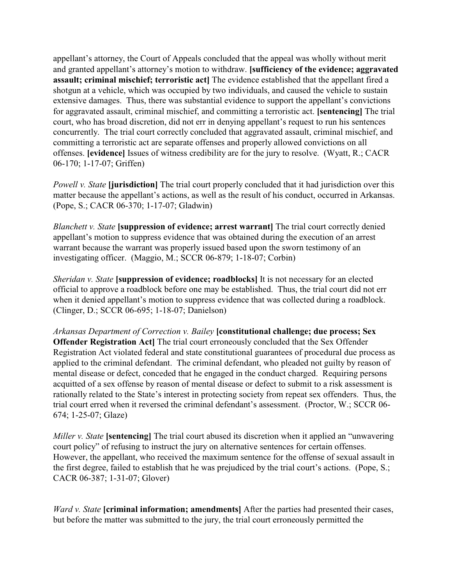appellant's attorney, the Court of Appeals concluded that the appeal was wholly without merit and granted appellant's attorney's motion to withdraw. **[sufficiency of the evidence; aggravated assault; criminal mischief; terroristic act]** The evidence established that the appellant fired a shotgun at a vehicle, which was occupied by two individuals, and caused the vehicle to sustain extensive damages. Thus, there was substantial evidence to support the appellant's convictions for aggravated assault, criminal mischief, and committing a terroristic act. **[sentencing]** The trial court, who has broad discretion, did not err in denying appellant's request to run his sentences concurrently. The trial court correctly concluded that aggravated assault, criminal mischief, and committing a terroristic act are separate offenses and properly allowed convictions on all offenses. **[evidence]** Issues of witness credibility are for the jury to resolve. (Wyatt, R.; CACR 06-170; 1-17-07; Griffen)

*Powell v. State* **[jurisdiction]** The trial court properly concluded that it had jurisdiction over this matter because the appellant's actions, as well as the result of his conduct, occurred in Arkansas. (Pope, S.; CACR 06-370; 1-17-07; Gladwin)

*Blanchett v. State* **[suppression of evidence; arrest warrant]** The trial court correctly denied appellant's motion to suppress evidence that was obtained during the execution of an arrest warrant because the warrant was properly issued based upon the sworn testimony of an investigating officer. (Maggio, M.; SCCR 06-879; 1-18-07; Corbin)

*Sheridan v. State* [suppression of evidence; roadblocks] It is not necessary for an elected official to approve a roadblock before one may be established. Thus, the trial court did not err when it denied appellant's motion to suppress evidence that was collected during a roadblock. (Clinger, D.; SCCR 06-695; 1-18-07; Danielson)

*Arkansas Department of Correction v. Bailey* **[constitutional challenge; due process; Sex Offender Registration Act** The trial court erroneously concluded that the Sex Offender Registration Act violated federal and state constitutional guarantees of procedural due process as applied to the criminal defendant. The criminal defendant, who pleaded not guilty by reason of mental disease or defect, conceded that he engaged in the conduct charged. Requiring persons acquitted of a sex offense by reason of mental disease or defect to submit to a risk assessment is rationally related to the State's interest in protecting society from repeat sex offenders. Thus, the trial court erred when it reversed the criminal defendant's assessment. (Proctor, W.; SCCR 06- 674; 1-25-07; Glaze)

*Miller v. State* **[sentencing]** The trial court abused its discretion when it applied an "unwavering" court policy" of refusing to instruct the jury on alternative sentences for certain offenses. However, the appellant, who received the maximum sentence for the offense of sexual assault in the first degree, failed to establish that he was prejudiced by the trial court's actions. (Pope, S.; CACR 06-387; 1-31-07; Glover)

*Ward v. State* **[criminal information; amendments]** After the parties had presented their cases, but before the matter was submitted to the jury, the trial court erroneously permitted the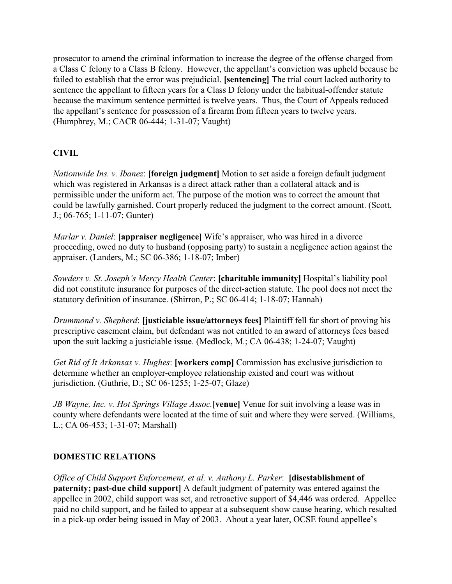prosecutor to amend the criminal information to increase the degree of the offense charged from a Class C felony to a Class B felony. However, the appellant's conviction was upheld because he failed to establish that the error was prejudicial. **[sentencing]** The trial court lacked authority to sentence the appellant to fifteen years for a Class D felony under the habitual-offender statute because the maximum sentence permitted is twelve years. Thus, the Court of Appeals reduced the appellant's sentence for possession of a firearm from fifteen years to twelve years. (Humphrey, M.; CACR 06-444; 1-31-07; Vaught)

# **CIVIL**

*Nationwide Ins. v. Ibanez*: **[foreign judgment]** Motion to set aside a foreign default judgment which was registered in Arkansas is a direct attack rather than a collateral attack and is permissible under the uniform act. The purpose of the motion was to correct the amount that could be lawfully garnished. Court properly reduced the judgment to the correct amount. (Scott, J.; 06-765; 1-11-07; Gunter)

*Marlar v. Daniel*: **[appraiser negligence]** Wife's appraiser, who was hired in a divorce proceeding, owed no duty to husband (opposing party) to sustain a negligence action against the appraiser. (Landers, M.; SC 06-386; 1-18-07; Imber)

*Sowders v. St. Joseph's Mercy Health Center*: **[charitable immunity]** Hospital's liability pool did not constitute insurance for purposes of the direct-action statute. The pool does not meet the statutory definition of insurance. (Shirron, P.; SC 06-414; 1-18-07; Hannah)

*Drummond v. Shepherd*: **[justiciable issue/attorneys fees]** Plaintiff fell far short of proving his prescriptive easement claim, but defendant was not entitled to an award of attorneys fees based upon the suit lacking a justiciable issue. (Medlock, M.; CA 06-438; 1-24-07; Vaught)

*Get Rid of It Arkansas v. Hughes*: **[workers comp]** Commission has exclusive jurisdiction to determine whether an employer-employee relationship existed and court was without jurisdiction. (Guthrie, D.; SC 06-1255; 1-25-07; Glaze)

*JB Wayne, Inc. v. Hot Springs Village Assoc.***[venue]** Venue for suit involving a lease was in county where defendants were located at the time of suit and where they were served. (Williams, L.; CA 06-453; 1-31-07; Marshall)

# **DOMESTIC RELATIONS**

*Office of Child Support Enforcement, et al. v. Anthony L. Parker*: **[disestablishment of paternity; past-due child support]** A default judgment of paternity was entered against the appellee in 2002, child support was set, and retroactive support of \$4,446 was ordered. Appellee paid no child support, and he failed to appear at a subsequent show cause hearing, which resulted in a pick-up order being issued in May of 2003. About a year later, OCSE found appellee's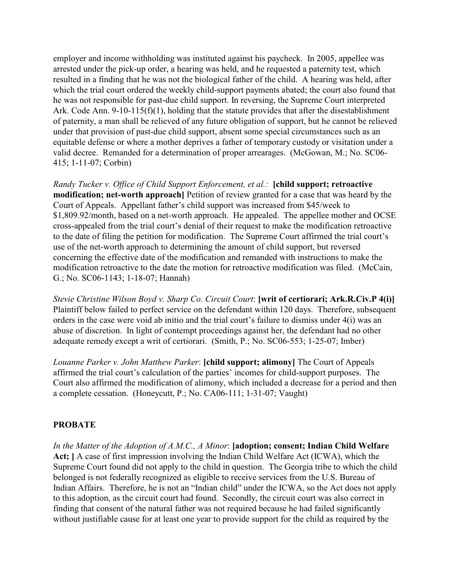employer and income withholding was instituted against his paycheck. In 2005, appellee was arrested under the pick-up order, a hearing was held, and he requested a paternity test, which resulted in a finding that he was not the biological father of the child. A hearing was held, after which the trial court ordered the weekly child-support payments abated; the court also found that he was not responsible for past-due child support. In reversing, the Supreme Court interpreted Ark. Code Ann. 9-10-115(f)(1), holding that the statute provides that after the disestablishment of paternity, a man shall be relieved of any future obligation of support, but he cannot be relieved under that provision of past-due child support, absent some special circumstances such as an equitable defense or where a mother deprives a father of temporary custody or visitation under a valid decree. Remanded for a determination of proper arrearages. (McGowan, M.; No. SC06- 415; 1-11-07; Corbin)

*Randy Tucker v. Office of Child Support Enforcement, et al.:* **[child support; retroactive modification; net-worth approach]** Petition of review granted for a case that was heard by the Court of Appeals. Appellant father's child support was increased from \$45/week to \$1,809.92/month, based on a net-worth approach. He appealed. The appellee mother and OCSE cross-appealed from the trial court's denial of their request to make the modification retroactive to the date of filing the petition for modification. The Supreme Court affirmed the trial court's use of the net-worth approach to determining the amount of child support, but reversed concerning the effective date of the modification and remanded with instructions to make the modification retroactive to the date the motion for retroactive modification was filed. (McCain, G.; No. SC06-1143; 1-18-07; Hannah)

*Stevie Christine Wilson Boyd v. Sharp Co. Circuit Court*: **[writ of certiorari; Ark.R.Civ.P 4(i)]** Plaintiff below failed to perfect service on the defendant within 120 days. Therefore, subsequent orders in the case were void ab initio and the trial court's failure to dismiss under 4(i) was an abuse of discretion. In light of contempt proceedings against her, the defendant had no other adequate remedy except a writ of certiorari. (Smith, P.; No. SC06-553; 1-25-07; Imber)

*Louanne Parker v. John Matthew Parker*: **[child support; alimony]** The Court of Appeals affirmed the trial court's calculation of the parties' incomes for child-support purposes. The Court also affirmed the modification of alimony, which included a decrease for a period and then a complete cessation. (Honeycutt, P.; No. CA06-111; 1-31-07; Vaught)

# **PROBATE**

*In the Matter of the Adoption of A.M.C., A Minor*: **[adoption; consent; Indian Child Welfare Act; ]** A case of first impression involving the Indian Child Welfare Act (ICWA), which the Supreme Court found did not apply to the child in question. The Georgia tribe to which the child belonged is not federally recognized as eligible to receive services from the U.S. Bureau of Indian Affairs. Therefore, he is not an "Indian child" under the ICWA, so the Act does not apply to this adoption, as the circuit court had found. Secondly, the circuit court was also correct in finding that consent of the natural father was not required because he had failed significantly without justifiable cause for at least one year to provide support for the child as required by the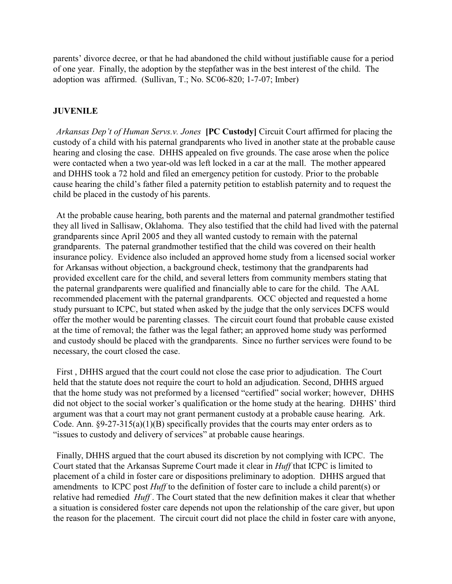parents' divorce decree, or that he had abandoned the child without justifiable cause for a period of one year. Finally, the adoption by the stepfather was in the best interest of the child. The adoption was affirmed. (Sullivan, T.; No. SC06-820; 1-7-07; Imber)

### **JUVENILE**

*Arkansas Dep't of Human Servs.v. Jones* **[PC Custody]** Circuit Court affirmed for placing the custody of a child with his paternal grandparents who lived in another state at the probable cause hearing and closing the case. DHHS appealed on five grounds. The case arose when the police were contacted when a two year-old was left locked in a car at the mall. The mother appeared and DHHS took a 72 hold and filed an emergency petition for custody. Prior to the probable cause hearing the child's father filed a paternity petition to establish paternity and to request the child be placed in the custody of his parents.

At the probable cause hearing, both parents and the maternal and paternal grandmother testified they all lived in Sallisaw, Oklahoma. They also testified that the child had lived with the paternal grandparents since April 2005 and they all wanted custody to remain with the paternal grandparents. The paternal grandmother testified that the child was covered on their health insurance policy. Evidence also included an approved home study from a licensed social worker for Arkansas without objection, a background check, testimony that the grandparents had provided excellent care for the child, and several letters from community members stating that the paternal grandparents were qualified and financially able to care for the child. The AAL recommended placement with the paternal grandparents. OCC objected and requested a home study pursuant to ICPC, but stated when asked by the judge that the only services DCFS would offer the mother would be parenting classes. The circuit court found that probable cause existed at the time of removal; the father was the legal father; an approved home study was performed and custody should be placed with the grandparents. Since no further services were found to be necessary, the court closed the case.

First , DHHS argued that the court could not close the case prior to adjudication. The Court held that the statute does not require the court to hold an adjudication. Second, DHHS argued that the home study was not preformed by a licensed "certified" social worker; however, DHHS did not object to the social worker's qualification or the home study at the hearing. DHHS' third argument was that a court may not grant permanent custody at a probable cause hearing. Ark. Code. Ann. §9-27-315(a)(1)(B) specifically provides that the courts may enter orders as to "issues to custody and delivery of services" at probable cause hearings.

Finally, DHHS argued that the court abused its discretion by not complying with ICPC. The Court stated that the Arkansas Supreme Court made it clear in *Huff* that ICPC is limited to placement of a child in foster care or dispositions preliminary to adoption. DHHS argued that amendments to ICPC post *Huff* to the definition of foster care to include a child parent(s) or relative had remedied *Huff* . The Court stated that the new definition makes it clear that whether a situation is considered foster care depends not upon the relationship of the care giver, but upon the reason for the placement. The circuit court did not place the child in foster care with anyone,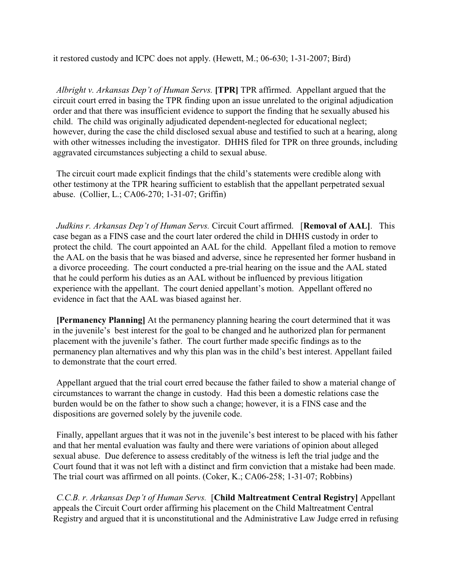it restored custody and ICPC does not apply. (Hewett, M.; 06-630; 1-31-2007; Bird)

*Albright v. Arkansas Dep't of Human Servs.* **[TPR]** TPR affirmed. Appellant argued that the circuit court erred in basing the TPR finding upon an issue unrelated to the original adjudication order and that there was insufficient evidence to support the finding that he sexually abused his child. The child was originally adjudicated dependent-neglected for educational neglect; however, during the case the child disclosed sexual abuse and testified to such at a hearing, along with other witnesses including the investigator. DHHS filed for TPR on three grounds, including aggravated circumstances subjecting a child to sexual abuse.

The circuit court made explicit findings that the child's statements were credible along with other testimony at the TPR hearing sufficient to establish that the appellant perpetrated sexual abuse. (Collier, L.; CA06-270; 1-31-07; Griffin)

*Judkins r. Arkansas Dep't of Human Servs.* Circuit Court affirmed. [**Removal of AAL]**. This case began as a FINS case and the court later ordered the child in DHHS custody in order to protect the child. The court appointed an AAL for the child. Appellant filed a motion to remove the AAL on the basis that he was biased and adverse, since he represented her former husband in a divorce proceeding. The court conducted a pre-trial hearing on the issue and the AAL stated that he could perform his duties as an AAL without be influenced by previous litigation experience with the appellant. The court denied appellant's motion. Appellant offered no evidence in fact that the AAL was biased against her.

**[Permanency Planning]** At the permanency planning hearing the court determined that it was in the juvenile's best interest for the goal to be changed and he authorized plan for permanent placement with the juvenile's father. The court further made specific findings as to the permanency plan alternatives and why this plan was in the child's best interest. Appellant failed to demonstrate that the court erred.

Appellant argued that the trial court erred because the father failed to show a material change of circumstances to warrant the change in custody. Had this been a domestic relations case the burden would be on the father to show such a change; however, it is a FINS case and the dispositions are governed solely by the juvenile code.

Finally, appellant argues that it was not in the juvenile's best interest to be placed with his father and that her mental evaluation was faulty and there were variations of opinion about alleged sexual abuse. Due deference to assess creditably of the witness is left the trial judge and the Court found that it was not left with a distinct and firm conviction that a mistake had been made. The trial court was affirmed on all points. (Coker, K.; CA06-258; 1-31-07; Robbins)

*C.C.B. r. Arkansas Dep't of Human Servs.* [**Child Maltreatment Central Registry]** Appellant appeals the Circuit Court order affirming his placement on the Child Maltreatment Central Registry and argued that it is unconstitutional and the Administrative Law Judge erred in refusing